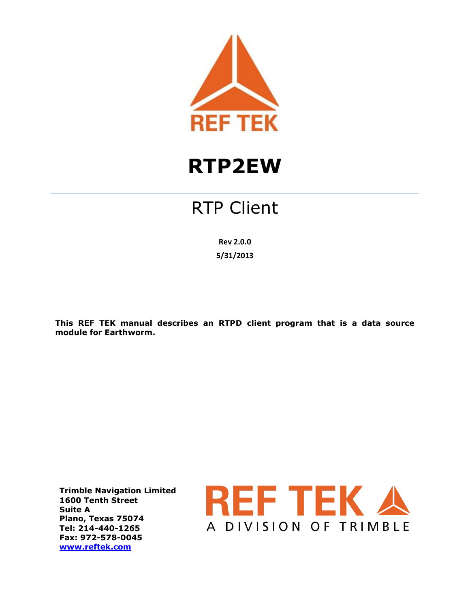

# **RTP2EW**

# RTP Client

**Rev 2.0.0 5/31/2013**

**This REF TEK manual describes an RTPD client program that is a data source module for Earthworm.**

**Trimble Navigation Limited 1600 Tenth Street Suite A Plano, Texas 75074 Tel: 214-440-1265 Fax: 972-578-0045 [www.reftek.com](http://www.reftek.com/)**

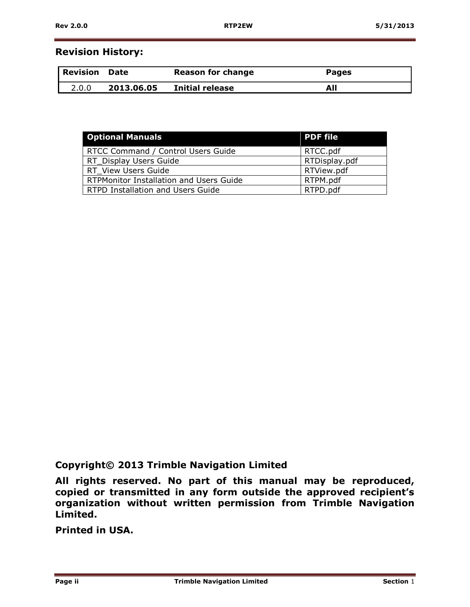#### **Revision History:**

| Revision | Date       | <b>Reason for change</b> | <b>Pages</b> |
|----------|------------|--------------------------|--------------|
| 2.0.0    | 2013.06.05 | Initial release          | All          |

| <b>Optional Manuals</b>                        | <b>PDF</b> file |
|------------------------------------------------|-----------------|
| RTCC Command / Control Users Guide             | RTCC.pdf        |
| RT_Display Users Guide                         | RTDisplay.pdf   |
| RT View Users Guide                            | RTView.pdf      |
| <b>RTPMonitor Installation and Users Guide</b> | RTPM.pdf        |
| RTPD Installation and Users Guide              | RTPD.pdf        |

#### **Copyright© 2013 Trimble Navigation Limited**

**All rights reserved. No part of this manual may be reproduced, copied or transmitted in any form outside the approved recipient's organization without written permission from Trimble Navigation Limited.**

**Printed in USA.**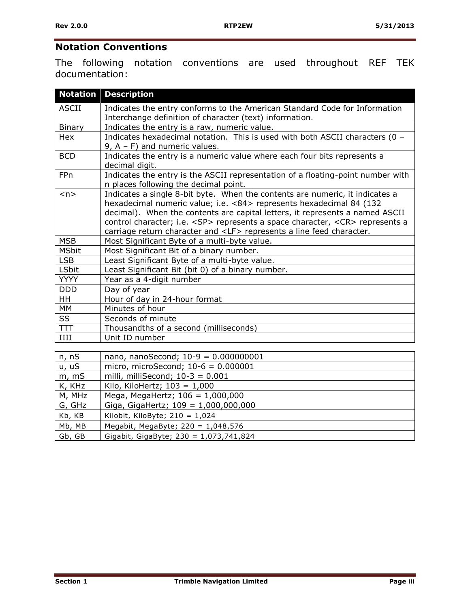#### **Notation Conventions**

The following notation conventions are used throughout REF TEK documentation:

| <b>Notation</b> | <b>Description</b>                                                                                                                                                                                                                                                                                                                                                                                          |  |  |  |  |  |
|-----------------|-------------------------------------------------------------------------------------------------------------------------------------------------------------------------------------------------------------------------------------------------------------------------------------------------------------------------------------------------------------------------------------------------------------|--|--|--|--|--|
| <b>ASCII</b>    | Indicates the entry conforms to the American Standard Code for Information<br>Interchange definition of character (text) information.                                                                                                                                                                                                                                                                       |  |  |  |  |  |
| Binary          | Indicates the entry is a raw, numeric value.                                                                                                                                                                                                                                                                                                                                                                |  |  |  |  |  |
| <b>Hex</b>      | Indicates hexadecimal notation. This is used with both ASCII characters (0 -<br>9, $A - F$ ) and numeric values.                                                                                                                                                                                                                                                                                            |  |  |  |  |  |
| <b>BCD</b>      | Indicates the entry is a numeric value where each four bits represents a<br>decimal digit.                                                                                                                                                                                                                                                                                                                  |  |  |  |  |  |
| FPn             | Indicates the entry is the ASCII representation of a floating-point number with<br>n places following the decimal point.                                                                                                                                                                                                                                                                                    |  |  |  |  |  |
| < n >           | Indicates a single 8-bit byte. When the contents are numeric, it indicates a<br>hexadecimal numeric value; i.e. <84> represents hexadecimal 84 (132<br>decimal). When the contents are capital letters, it represents a named ASCII<br>control character; i.e. <sp> represents a space character, <cr> represents a<br/>carriage return character and <lf> represents a line feed character.</lf></cr></sp> |  |  |  |  |  |
| <b>MSB</b>      | Most Significant Byte of a multi-byte value.                                                                                                                                                                                                                                                                                                                                                                |  |  |  |  |  |
| <b>MSbit</b>    | Most Significant Bit of a binary number.                                                                                                                                                                                                                                                                                                                                                                    |  |  |  |  |  |
| <b>LSB</b>      | Least Significant Byte of a multi-byte value.                                                                                                                                                                                                                                                                                                                                                               |  |  |  |  |  |
| LSbit           | Least Significant Bit (bit 0) of a binary number.                                                                                                                                                                                                                                                                                                                                                           |  |  |  |  |  |
| <b>YYYY</b>     | Year as a 4-digit number                                                                                                                                                                                                                                                                                                                                                                                    |  |  |  |  |  |
| <b>DDD</b>      | Day of year                                                                                                                                                                                                                                                                                                                                                                                                 |  |  |  |  |  |
| <b>HH</b>       | Hour of day in 24-hour format                                                                                                                                                                                                                                                                                                                                                                               |  |  |  |  |  |
| МM              | Minutes of hour                                                                                                                                                                                                                                                                                                                                                                                             |  |  |  |  |  |
| SS              | Seconds of minute                                                                                                                                                                                                                                                                                                                                                                                           |  |  |  |  |  |
| TTT             | Thousandths of a second (milliseconds)                                                                                                                                                                                                                                                                                                                                                                      |  |  |  |  |  |
| IIII            | Unit ID number                                                                                                                                                                                                                                                                                                                                                                                              |  |  |  |  |  |
|                 |                                                                                                                                                                                                                                                                                                                                                                                                             |  |  |  |  |  |
| n, nS           | nano, nanoSecond; 10-9 = 0.000000001                                                                                                                                                                                                                                                                                                                                                                        |  |  |  |  |  |

| n, nS  | nano, nanoSecond; $10-9 = 0.000000001$   |
|--------|------------------------------------------|
| u, uS  | micro, microSecond; $10-6 = 0.000001$    |
| m, mS  | milli, milliSecond; $10-3 = 0.001$       |
| K, KHz | Kilo, KiloHertz; $103 = 1,000$           |
| M, MHz | Mega, MegaHertz; $106 = 1,000,000$       |
| G, GHz | Giga, GigaHertz; $109 = 1,000,000,000$   |
| Kb, KB | Kilobit, KiloByte; $210 = 1,024$         |
| Mb, MB | Megabit, MegaByte; $220 = 1,048,576$     |
| Gb, GB | Gigabit, GigaByte; $230 = 1,073,741,824$ |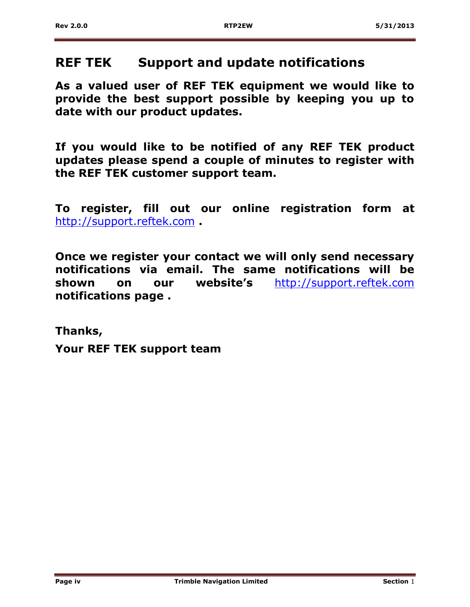### **REF TEK Support and update notifications**

**As a valued user of REF TEK equipment we would like to provide the best support possible by keeping you up to date with our product updates.**

**If you would like to be notified of any REF TEK product updates please spend a couple of minutes to register with the REF TEK customer support team.**

**To register, fill out our online registration form at**  [http://support.reftek.com](http://support.reftek.com/) **.**

**Once we register your contact we will only send necessary notifications via email. The same notifications will be shown on our website's** [http://support.reftek.com](http://support.reftek.com/) **notifications page .**

**Thanks, Your REF TEK support team**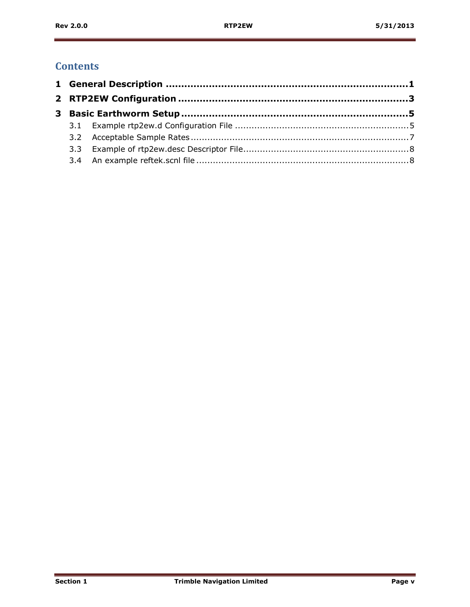### **Contents**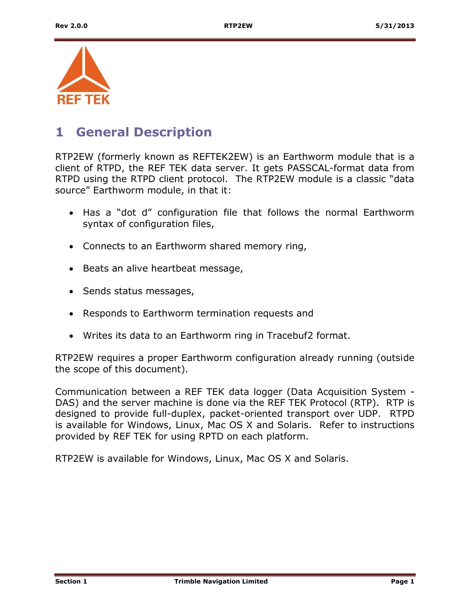

## <span id="page-6-0"></span>**1 General Description**

RTP2EW (formerly known as REFTEK2EW) is an Earthworm module that is a client of RTPD, the REF TEK data server. It gets PASSCAL-format data from RTPD using the RTPD client protocol. The RTP2EW module is a classic "data source" Earthworm module, in that it:

- Has a "dot d" configuration file that follows the normal Earthworm syntax of configuration files,
- Connects to an Earthworm shared memory ring,
- Beats an alive heartbeat message,
- Sends status messages,
- Responds to Earthworm termination requests and
- Writes its data to an Earthworm ring in Tracebuf2 format.

RTP2EW requires a proper Earthworm configuration already running (outside the scope of this document).

Communication between a REF TEK data logger (Data Acquisition System - DAS) and the server machine is done via the REF TEK Protocol (RTP). RTP is designed to provide full-duplex, packet-oriented transport over UDP. RTPD is available for Windows, Linux, Mac OS X and Solaris. Refer to instructions provided by REF TEK for using RPTD on each platform.

RTP2EW is available for Windows, Linux, Mac OS X and Solaris.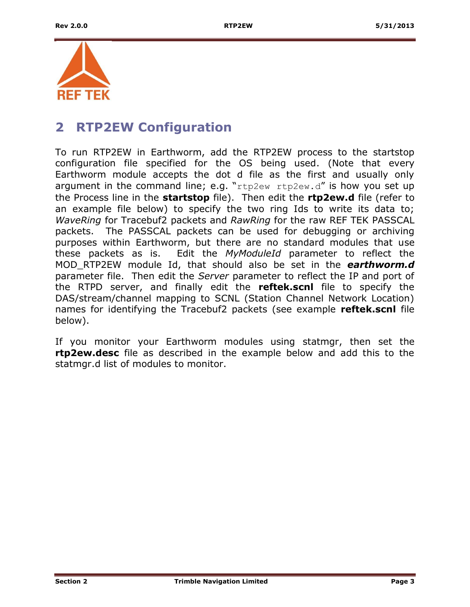

# <span id="page-8-0"></span>**2 RTP2EW Configuration**

To run RTP2EW in Earthworm, add the RTP2EW process to the startstop configuration file specified for the OS being used. (Note that every Earthworm module accepts the dot d file as the first and usually only argument in the command line; e.g. "rtp2ew rtp2ew.d" is how you set up the Process line in the **startstop** file). Then edit the **rtp2ew.d** file (refer to an example file below) to specify the two ring Ids to write its data to; *WaveRing* for Tracebuf2 packets and *RawRing* for the raw REF TEK PASSCAL packets. The PASSCAL packets can be used for debugging or archiving purposes within Earthworm, but there are no standard modules that use these packets as is. Edit the *MyModuleId* parameter to reflect the MOD\_RTP2EW module Id, that should also be set in the *earthworm.d* parameter file. Then edit the *Server* parameter to reflect the IP and port of the RTPD server, and finally edit the **reftek.scnl** file to specify the DAS/stream/channel mapping to SCNL (Station Channel Network Location) names for identifying the Tracebuf2 packets (see example **reftek.scnl** file below).

If you monitor your Earthworm modules using statmgr, then set the **rtp2ew.desc** file as described in the example below and add this to the statmgr.d list of modules to monitor.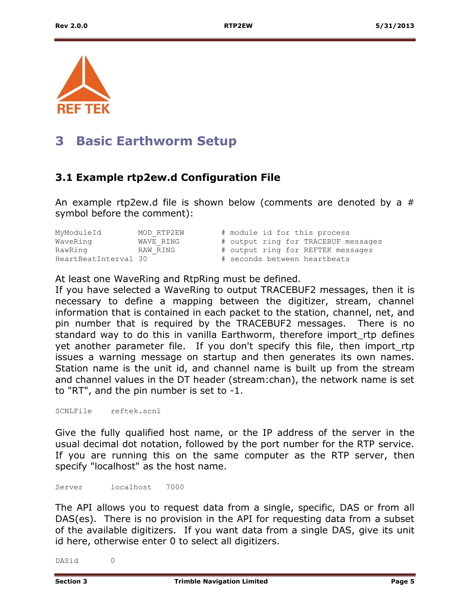

## <span id="page-10-0"></span>**3 Basic Earthworm Setup**

### <span id="page-10-1"></span>**3.1 Example rtp2ew.d Configuration File**

An example rtp2ew.d file is shown below (comments are denoted by a # symbol before the comment):

| MyModuleId           | MOD RTP2EW |  |  | # module id for this process        |  |
|----------------------|------------|--|--|-------------------------------------|--|
| WaveRing             | WAVE RING  |  |  | # output ring for TRACEBUF messages |  |
| RawRing              | RAW RING   |  |  | # output ring for REFTEK messages   |  |
| HeartBeatInterval 30 |            |  |  | # seconds between heartbeats        |  |

At least one WaveRing and RtpRing must be defined.

If you have selected a WaveRing to output TRACEBUF2 messages, then it is necessary to define a mapping between the digitizer, stream, channel information that is contained in each packet to the station, channel, net, and pin number that is required by the TRACEBUF2 messages. There is no standard way to do this in vanilla Earthworm, therefore import\_rtp defines yet another parameter file. If you don't specify this file, then import\_rtp issues a warning message on startup and then generates its own names. Station name is the unit id, and channel name is built up from the stream and channel values in the DT header (stream:chan), the network name is set to "RT", and the pin number is set to -1.

SCNLFile reftek.scnl

Give the fully qualified host name, or the IP address of the server in the usual decimal dot notation, followed by the port number for the RTP service. If you are running this on the same computer as the RTP server, then specify "localhost" as the host name.

Server localhost 7000

The API allows you to request data from a single, specific, DAS or from all DAS(es). There is no provision in the API for requesting data from a subset of the available digitizers. If you want data from a single DAS, give its unit id here, otherwise enter 0 to select all digitizers.

DASid 0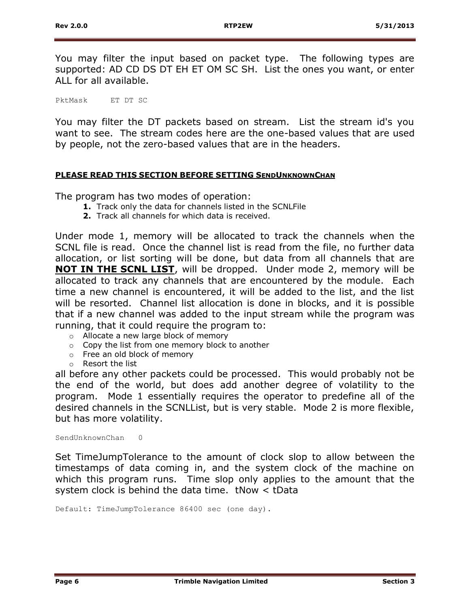You may filter the input based on packet type. The following types are supported: AD CD DS DT EH ET OM SC SH. List the ones you want, or enter ALL for all available.

PktMask ET DT SC

You may filter the DT packets based on stream. List the stream id's you want to see. The stream codes here are the one-based values that are used by people, not the zero-based values that are in the headers.

#### **PLEASE READ THIS SECTION BEFORE SETTING SENDUNKNOWNCHAN**

The program has two modes of operation:

- **1.** Track only the data for channels listed in the SCNLFile
- **2.** Track all channels for which data is received.

Under mode 1, memory will be allocated to track the channels when the SCNL file is read. Once the channel list is read from the file, no further data allocation, or list sorting will be done, but data from all channels that are **NOT IN THE SCNL LIST**, will be dropped. Under mode 2, memory will be allocated to track any channels that are encountered by the module. Each time a new channel is encountered, it will be added to the list, and the list will be resorted. Channel list allocation is done in blocks, and it is possible that if a new channel was added to the input stream while the program was running, that it could require the program to:

- o Allocate a new large block of memory
- o Copy the list from one memory block to another
- o Free an old block of memory
- o Resort the list

all before any other packets could be processed. This would probably not be the end of the world, but does add another degree of volatility to the program. Mode 1 essentially requires the operator to predefine all of the desired channels in the SCNLList, but is very stable. Mode 2 is more flexible, but has more volatility.

#### SendUnknownChan 0

Set TimeJumpTolerance to the amount of clock slop to allow between the timestamps of data coming in, and the system clock of the machine on which this program runs. Time slop only applies to the amount that the system clock is behind the data time. tNow < tData

Default: TimeJumpTolerance 86400 sec (one day).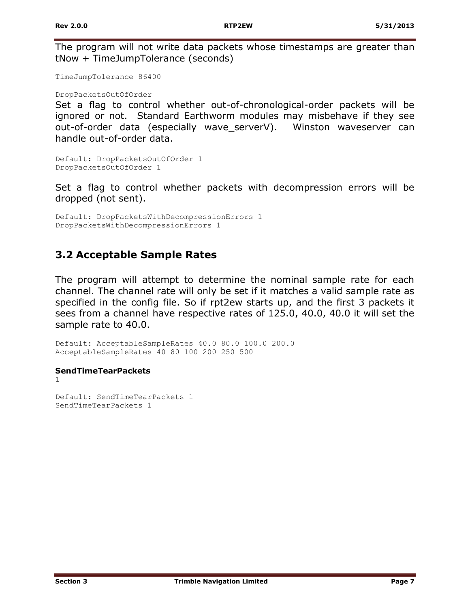The program will not write data packets whose timestamps are greater than tNow + TimeJumpTolerance (seconds)

TimeJumpTolerance 86400

DropPacketsOutOfOrder

Set a flag to control whether out-of-chronological-order packets will be ignored or not. Standard Earthworm modules may misbehave if they see out-of-order data (especially wave serverV). Winston waveserver can handle out-of-order data.

```
Default: DropPacketsOutOfOrder 1
DropPacketsOutOfOrder 1
```
Set a flag to control whether packets with decompression errors will be dropped (not sent).

```
Default: DropPacketsWithDecompressionErrors 1
DropPacketsWithDecompressionErrors 1
```
#### <span id="page-12-0"></span>**3.2 Acceptable Sample Rates**

The program will attempt to determine the nominal sample rate for each channel. The channel rate will only be set if it matches a valid sample rate as specified in the config file. So if rpt2ew starts up, and the first 3 packets it sees from a channel have respective rates of 125.0, 40.0, 40.0 it will set the sample rate to 40.0.

```
Default: AcceptableSampleRates 40.0 80.0 100.0 200.0
AcceptableSampleRates 40 80 100 200 250 500
```
#### **SendTimeTearPackets** 1

Default: SendTimeTearPackets 1 SendTimeTearPackets 1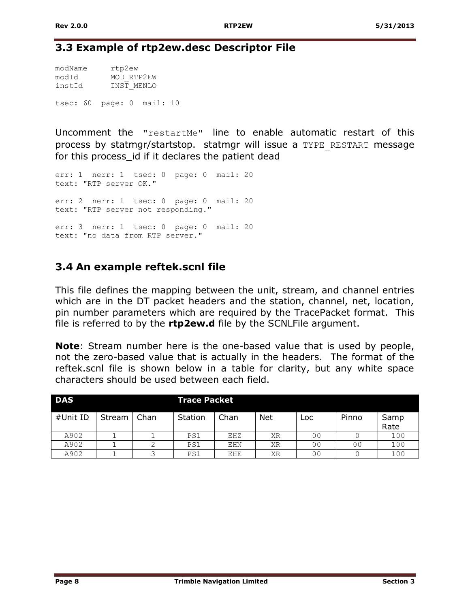#### <span id="page-13-0"></span>**3.3 Example of rtp2ew.desc Descriptor File**

modName rtp2ew modId MOD\_RTP2EW instId INST\_MENLO

tsec: 60 page: 0 mail: 10

Uncomment the "restartMe" line to enable automatic restart of this process by statmgr/startstop. statmgr will issue a TYPE\_RESTART message for this process id if it declares the patient dead

err: 1 nerr: 1 tsec: 0 page: 0 mail: 20 text: "RTP server OK." err: 2 nerr: 1 tsec: 0 page: 0 mail: 20 text: "RTP server not responding." err: 3 nerr: 1 tsec: 0 page: 0 mail: 20 text: "no data from RTP server."

### <span id="page-13-1"></span>**3.4 An example reftek.scnl file**

This file defines the mapping between the unit, stream, and channel entries which are in the DT packet headers and the station, channel, net, location, pin number parameters which are required by the TracePacket format. This file is referred to by the **rtp2ew.d** file by the SCNLFile argument.

**Note**: Stream number here is the one-based value that is used by people, not the zero-based value that is actually in the headers. The format of the reftek.scnl file is shown below in a table for clarity, but any white space characters should be used between each field.

| <b>DAS</b> |        |                | <b>Trace Packet</b> |      |            |                |       |              |  |
|------------|--------|----------------|---------------------|------|------------|----------------|-------|--------------|--|
| #Unit ID   | Stream | Chan           | Station             | Chan | <b>Net</b> | LOC.           | Pinno | Samp<br>Rate |  |
| A902       |        |                | PS1                 | EHZ  | XR         | 0 <sup>0</sup> |       | 100          |  |
| A902       |        | $\overline{ }$ | PS1                 | EHN  | XR         | 0 <sup>0</sup> | 00    | 100          |  |
| A902       |        | r              | PS1                 | EHE  | XR         | 0 <sup>0</sup> |       | 100          |  |